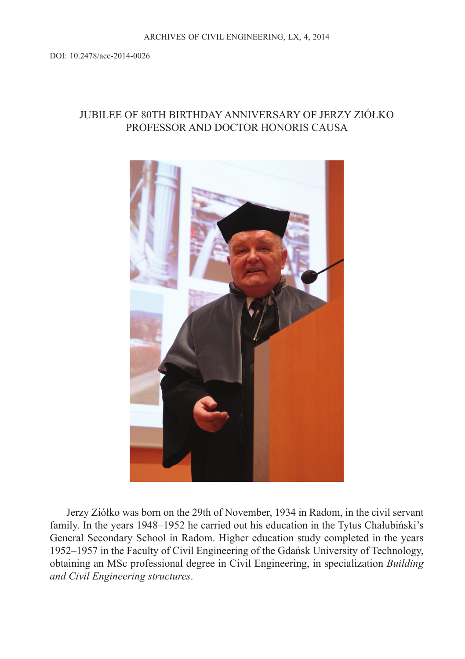## JUBILEE OF 80TH BIRTHDAY ANNIVERSARY OF JERZY ZIÓŁKO PROFESSOR AND DOCTOR HONORIS CAUSA



Jerzy Ziółko was born on the 29th of November, 1934 in Radom, in the civil servant family. In the years 1948–1952 he carried out his education in the Tytus Chałubiński's General Secondary School in Radom. Higher education study completed in the years 1952–1957 in the Faculty of Civil Engineering of the Gdańsk University of Technology, obtaining an MSc professional degree in Civil Engineering, in specialization *Building and Civil Engineering structures*.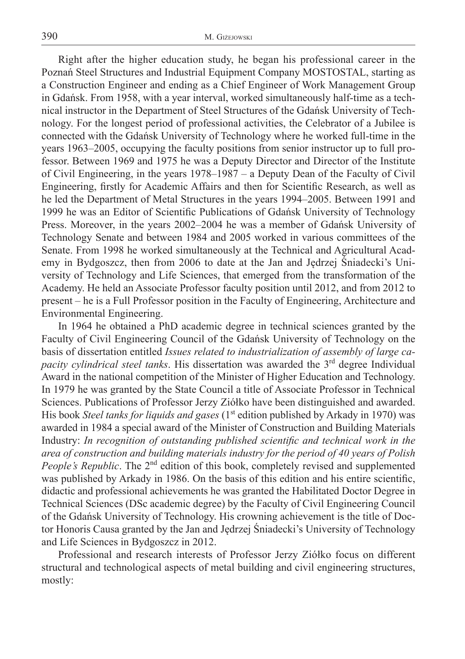Right after the higher education study, he began his professional career in the Poznań Steel Structures and Industrial Equipment Company MOSTOSTAL, starting as a Construction Engineer and ending as a Chief Engineer of Work Management Group in Gdańsk. From 1958, with a year interval, worked simultaneously half-time as a technical instructor in the Department of Steel Structures of the Gdańsk University of Technology. For the longest period of professional activities, the Celebrator of a Jubilee is connected with the Gdańsk University of Technology where he worked full-time in the years 1963–2005, occupying the faculty positions from senior instructor up to full professor. Between 1969 and 1975 he was a Deputy Director and Director of the Institute of Civil Engineering, in the years 1978–1987 – a Deputy Dean of the Faculty of Civil Engineering, firstly for Academic Affairs and then for Scientific Research, as well as he led the Department of Metal Structures in the years 1994–2005. Between 1991 and 1999 he was an Editor of Scientific Publications of Gdańsk University of Technology Press. Moreover, in the years 2002–2004 he was a member of Gdańsk University of Technology Senate and between 1984 and 2005 worked in various committees of the Senate. From 1998 he worked simultaneously at the Technical and Agricultural Academy in Bydgoszcz, then from 2006 to date at the Jan and Jędrzej Śniadecki's University of Technology and Life Sciences, that emerged from the transformation of the Academy. He held an Associate Professor faculty position until 2012, and from 2012 to present – he is a Full Professor position in the Faculty of Engineering, Architecture and Environmental Engineering.

In 1964 he obtained a PhD academic degree in technical sciences granted by the Faculty of Civil Engineering Council of the Gdańsk University of Technology on the basis of dissertation entitled *Issues related to industrialization of assembly of large capacity cylindrical steel tanks*. His dissertation was awarded the 3<sup>rd</sup> degree Individual Award in the national competition of the Minister of Higher Education and Technology. In 1979 he was granted by the State Council a title of Associate Professor in Technical Sciences. Publications of Professor Jerzy Ziółko have been distinguished and awarded. His book *Steel tanks for liquids and gases* (1<sup>st</sup> edition published by Arkady in 1970) was awarded in 1984 a special award of the Minister of Construction and Building Materials Industry: In recognition of outstanding published scientific and technical work in the *area of construction and building materials industry for the period of 40 years of Polish People's Republic*. The 2<sup>nd</sup> edition of this book, completely revised and supplemented was published by Arkady in 1986. On the basis of this edition and his entire scientific, didactic and professional achievements he was granted the Habilitated Doctor Degree in Technical Sciences (DSc academic degree) by the Faculty of Civil Engineering Council of the Gdańsk University of Technology. His crowning achievement is the title of Doctor Honoris Causa granted by the Jan and Jędrzej Śniadecki's University of Technology and Life Sciences in Bydgoszcz in 2012.

Professional and research interests of Professor Jerzy Ziółko focus on different structural and technological aspects of metal building and civil engineering structures, mostly: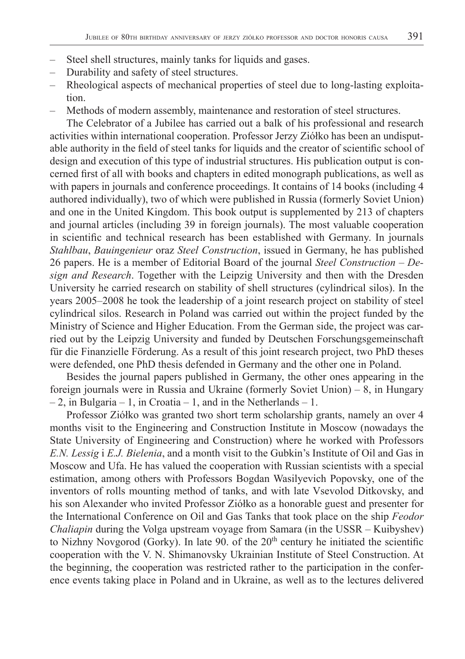- Steel shell structures, mainly tanks for liquids and gases.
- Durability and safety of steel structures.
- Rheological aspects of mechanical properties of steel due to long-lasting exploitation.
- Methods of modern assembly, maintenance and restoration of steel structures.

The Celebrator of a Jubilee has carried out a balk of his professional and research activities within international cooperation. Professor Jerzy Ziółko has been an undisputable authority in the field of steel tanks for liquids and the creator of scientific school of design and execution of this type of industrial structures. His publication output is concerned first of all with books and chapters in edited monograph publications, as well as with papers in journals and conference proceedings. It contains of 14 books (including 4 authored individually), two of which were published in Russia (formerly Soviet Union) and one in the United Kingdom. This book output is supplemented by 213 of chapters and journal articles (including 39 in foreign journals). The most valuable cooperation in scientific and technical research has been established with Germany. In journals *Stahlbau*, *Bauingenieur* oraz *Steel Construction*, issued in Germany, he has published 26 papers. He is a member of Editorial Board of the journal *Steel Construction – Design and Research*. Together with the Leipzig University and then with the Dresden University he carried research on stability of shell structures (cylindrical silos). In the years 2005–2008 he took the leadership of a joint research project on stability of steel cylindrical silos. Research in Poland was carried out within the project funded by the Ministry of Science and Higher Education. From the German side, the project was carried out by the Leipzig University and funded by Deutschen Forschungsgemeinschaft für die Finanzielle Förderung. As a result of this joint research project, two PhD theses were defended, one PhD thesis defended in Germany and the other one in Poland.

Besides the journal papers published in Germany, the other ones appearing in the foreign journals were in Russia and Ukraine (formerly Soviet Union) – 8, in Hungary – 2, in Bulgaria – 1, in Croatia – 1, and in the Netherlands – 1.

Professor Ziółko was granted two short term scholarship grants, namely an over 4 months visit to the Engineering and Construction Institute in Moscow (nowadays the State University of Engineering and Construction) where he worked with Professors *E.N. Lessig* i *E.J. Bielenia*, and a month visit to the Gubkin's Institute of Oil and Gas in Moscow and Ufa. He has valued the cooperation with Russian scientists with a special estimation, among others with Professors Bogdan Wasilyevich Popovsky, one of the inventors of rolls mounting method of tanks, and with late Vsevolod Ditkovsky, and his son Alexander who invited Professor Ziółko as a honorable guest and presenter for the International Conference on Oil and Gas Tanks that took place on the ship *Feodor Chaliapin* during the Volga upstream voyage from Samara (in the USSR – Kuibyshev) to Nizhny Novgorod (Gorky). In late 90. of the  $20<sup>th</sup>$  century he initiated the scientific cooperation with the V. N. Shimanovsky Ukrainian Institute of Steel Construction. At the beginning, the cooperation was restricted rather to the participation in the conference events taking place in Poland and in Ukraine, as well as to the lectures delivered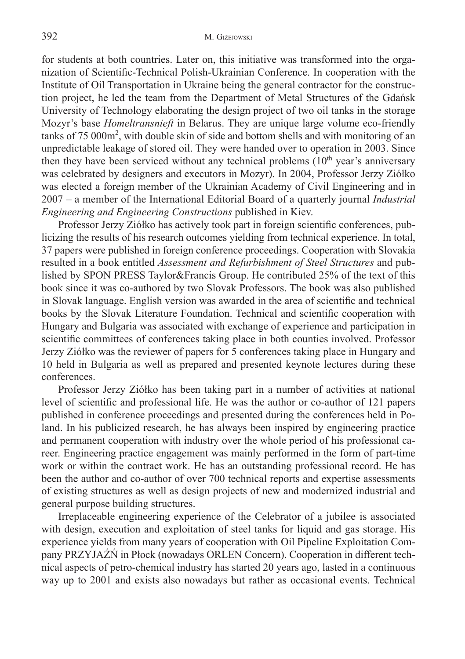for students at both countries. Later on, this initiative was transformed into the organization of Scientific-Technical Polish-Ukrainian Conference. In cooperation with the Institute of Oil Transportation in Ukraine being the general contractor for the construction project, he led the team from the Department of Metal Structures of the Gdańsk University of Technology elaborating the design project of two oil tanks in the storage Mozyr's base *Homeltransnieft* in Belarus. They are unique large volume eco-friendly tanks of 75 000m<sup>2</sup>, with double skin of side and bottom shells and with monitoring of an unpredictable leakage of stored oil. They were handed over to operation in 2003. Since then they have been serviced without any technical problems  $(10<sup>th</sup>$  year's anniversary was celebrated by designers and executors in Mozyr). In 2004, Professor Jerzy Ziółko was elected a foreign member of the Ukrainian Academy of Civil Engineering and in 2007 – a member of the International Editorial Board of a quarterly journal *Industrial Engineering and Engineering Constructions* published in Kiev.

Professor Jerzy Ziółko has actively took part in foreign scientific conferences, publicizing the results of his research outcomes yielding from technical experience. In total, 37 papers were published in foreign conference proceedings. Cooperation with Slovakia resulted in a book entitled *Assessment and Refurbishment of Steel Structures* and published by SPON PRESS Taylor&Francis Group. He contributed 25% of the text of this book since it was co-authored by two Slovak Professors. The book was also published in Slovak language. English version was awarded in the area of scientific and technical books by the Slovak Literature Foundation. Technical and scientific cooperation with Hungary and Bulgaria was associated with exchange of experience and participation in scientific committees of conferences taking place in both counties involved. Professor Jerzy Ziółko was the reviewer of papers for 5 conferences taking place in Hungary and 10 held in Bulgaria as well as prepared and presented keynote lectures during these conferences.

Professor Jerzy Ziółko has been taking part in a number of activities at national level of scientific and professional life. He was the author or co-author of 121 papers published in conference proceedings and presented during the conferences held in Poland. In his publicized research, he has always been inspired by engineering practice and permanent cooperation with industry over the whole period of his professional career. Engineering practice engagement was mainly performed in the form of part-time work or within the contract work. He has an outstanding professional record. He has been the author and co-author of over 700 technical reports and expertise assessments of existing structures as well as design projects of new and modernized industrial and general purpose building structures.

Irreplaceable engineering experience of the Celebrator of a jubilee is associated with design, execution and exploitation of steel tanks for liquid and gas storage. His experience yields from many years of cooperation with Oil Pipeline Exploitation Company PRZYJAŹŃ in Płock (nowadays ORLEN Concern). Cooperation in different technical aspects of petro-chemical industry has started 20 years ago, lasted in a continuous way up to 2001 and exists also nowadays but rather as occasional events. Technical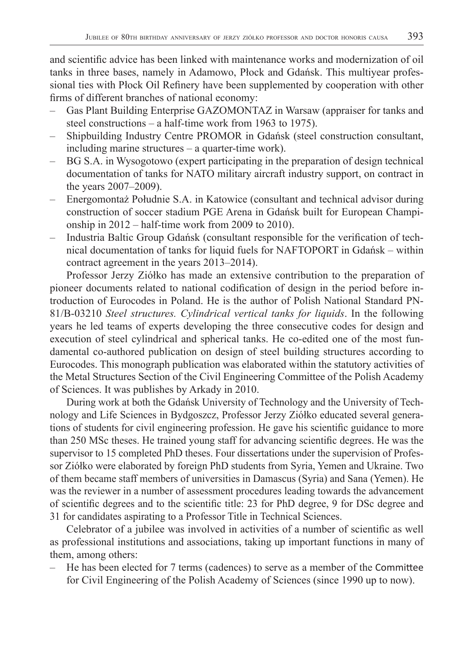and scientific advice has been linked with maintenance works and modernization of oil tanks in three bases, namely in Adamowo, Płock and Gdańsk. This multiyear professional ties with Płock Oil Refinery have been supplemented by cooperation with other firms of different branches of national economy:

- Gas Plant Building Enterprise GAZOMONTAZ in Warsaw (appraiser for tanks and steel constructions – a half-time work from 1963 to 1975).
- Shipbuilding Industry Centre PROMOR in Gdańsk (steel construction consultant, including marine structures – a quarter-time work).
- BG S.A. in Wysogotowo (expert participating in the preparation of design technical documentation of tanks for NATO military aircraft industry support, on contract in the years 2007–2009).
- Energomontaż Południe S.A. in Katowice (consultant and technical advisor during construction of soccer stadium PGE Arena in Gdańsk built for European Championship in 2012 – half-time work from 2009 to 2010).
- Industria Baltic Group Gdańsk (consultant responsible for the verification of technical documentation of tanks for liquid fuels for NAFTOPORT in Gdańsk – within contract agreement in the years 2013–2014).

Professor Jerzy Ziółko has made an extensive contribution to the preparation of pioneer documents related to national codification of design in the period before introduction of Eurocodes in Poland. He is the author of Polish National Standard PN-81/B-03210 *Steel structures. Cylindrical vertical tanks for liquids*. In the following years he led teams of experts developing the three consecutive codes for design and execution of steel cylindrical and spherical tanks. He co-edited one of the most fundamental co-authored publication on design of steel building structures according to Eurocodes. This monograph publication was elaborated within the statutory activities of the Metal Structures Section of the Civil Engineering Committee of the Polish Academy of Sciences. It was publishes by Arkady in 2010.

During work at both the Gdańsk University of Technology and the University of Technology and Life Sciences in Bydgoszcz, Professor Jerzy Ziółko educated several generations of students for civil engineering profession. He gave his scientific guidance to more than 250 MSc theses. He trained young staff for advancing scientific degrees. He was the supervisor to 15 completed PhD theses. Four dissertations under the supervision of Professor Ziółko were elaborated by foreign PhD students from Syria, Yemen and Ukraine. Two of them became staff members of universities in Damascus (Syria) and Sana (Yemen). He was the reviewer in a number of assessment procedures leading towards the advancement of scientific degrees and to the scientific title: 23 for PhD degree, 9 for DSc degree and 31 for candidates aspirating to a Professor Title in Technical Sciences.

Celebrator of a jubilee was involved in activities of a number of scientific as well as professional institutions and associations, taking up important functions in many of them, among others:

– He has been elected for 7 terms (cadences) to serve as a member of the Committee for Civil Engineering of the Polish Academy of Sciences (since 1990 up to now).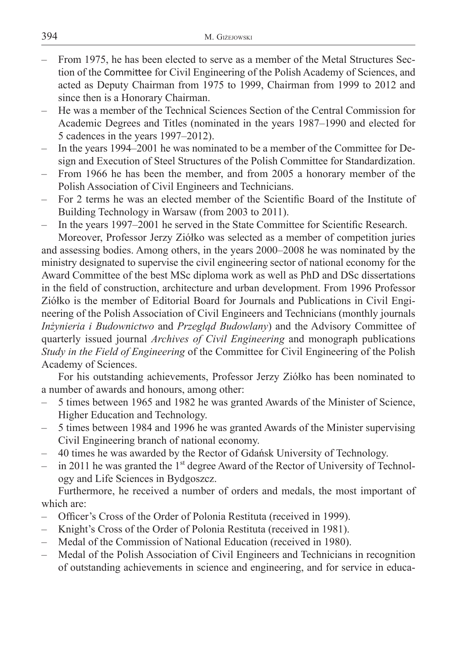- From 1975, he has been elected to serve as a member of the Metal Structures Section of the Committee for Civil Engineering of the Polish Academy of Sciences, and acted as Deputy Chairman from 1975 to 1999, Chairman from 1999 to 2012 and since then is a Honorary Chairman.
- He was a member of the Technical Sciences Section of the Central Commission for Academic Degrees and Titles (nominated in the years 1987–1990 and elected for 5 cadences in the years 1997–2012).
- In the years 1994–2001 he was nominated to be a member of the Committee for Design and Execution of Steel Structures of the Polish Committee for Standardization.
- From 1966 he has been the member, and from 2005 a honorary member of the Polish Association of Civil Engineers and Technicians.
- For 2 terms he was an elected member of the Scientific Board of the Institute of Building Technology in Warsaw (from 2003 to 2011).
- In the years 1997–2001 he served in the State Committee for Scientific Research.

Moreover, Professor Jerzy Ziółko was selected as a member of competition juries and assessing bodies. Among others, in the years 2000–2008 he was nominated by the ministry designated to supervise the civil engineering sector of national economy for the Award Committee of the best MSc diploma work as well as PhD and DSc dissertations in the field of construction, architecture and urban development. From 1996 Professor Ziółko is the member of Editorial Board for Journals and Publications in Civil Engineering of the Polish Association of Civil Engineers and Technicians (monthly journals *Inżynieria i Budownictwo* and *Przegląd Budowlany*) and the Advisory Committee of quarterly issued journal *Archives of Civil Engineering* and monograph publications *Study in the Field of Engineering* of the Committee for Civil Engineering of the Polish Academy of Sciences.

For his outstanding achievements, Professor Jerzy Ziółko has been nominated to a number of awards and honours, among other:

- 5 times between 1965 and 1982 he was granted Awards of the Minister of Science, Higher Education and Technology.
- 5 times between 1984 and 1996 he was granted Awards of the Minister supervising Civil Engineering branch of national economy.
- 40 times he was awarded by the Rector of Gdańsk University of Technology.
- in 2011 he was granted the  $1<sup>st</sup>$  degree Award of the Rector of University of Technology and Life Sciences in Bydgoszcz.

Furthermore, he received a number of orders and medals, the most important of which are:

- Officer's Cross of the Order of Polonia Restituta (received in 1999).
- Knight's Cross of the Order of Polonia Restituta (received in 1981).
- Medal of the Commission of National Education (received in 1980).
- Medal of the Polish Association of Civil Engineers and Technicians in recognition of outstanding achievements in science and engineering, and for service in educa-